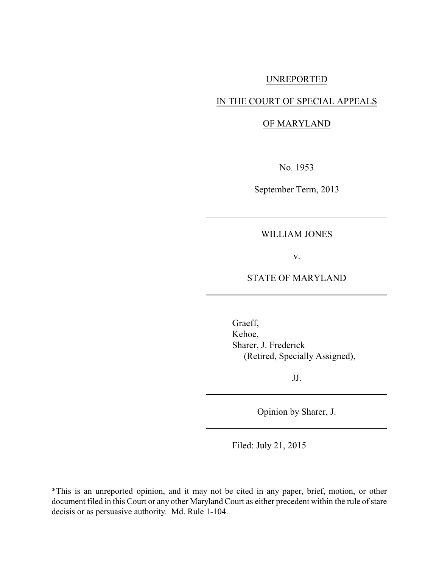# UNREPORTED

# IN THE COURT OF SPECIAL APPEALS

# OF MARYLAND

No. 1953

September Term, 2013

# WILLIAM JONES

v.

# STATE OF MARYLAND

Graeff, Kehoe, Sharer, J. Frederick (Retired, Specially Assigned),

JJ.

Opinion by Sharer, J.

Filed: July 21, 2015

\*This is an unreported opinion, and it may not be cited in any paper, brief, motion, or other document filed in this Court or any other Maryland Court as either precedent within the rule of stare decisis or as persuasive authority. Md. Rule 1-104.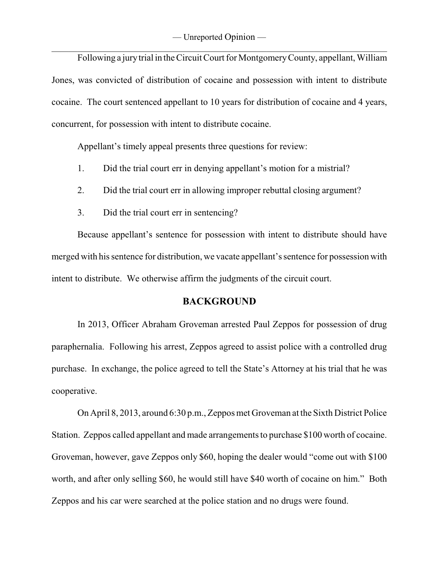Following a jurytrial in the Circuit Court for MontgomeryCounty, appellant, William Jones, was convicted of distribution of cocaine and possession with intent to distribute cocaine. The court sentenced appellant to 10 years for distribution of cocaine and 4 years, concurrent, for possession with intent to distribute cocaine.

Appellant's timely appeal presents three questions for review:

- 1. Did the trial court err in denying appellant's motion for a mistrial?
- 2. Did the trial court err in allowing improper rebuttal closing argument?
- 3. Did the trial court err in sentencing?

Because appellant's sentence for possession with intent to distribute should have merged with his sentence for distribution, we vacate appellant's sentence for possession with intent to distribute. We otherwise affirm the judgments of the circuit court.

# **BACKGROUND**

In 2013, Officer Abraham Groveman arrested Paul Zeppos for possession of drug paraphernalia. Following his arrest, Zeppos agreed to assist police with a controlled drug purchase. In exchange, the police agreed to tell the State's Attorney at his trial that he was cooperative.

On April 8, 2013, around 6:30 p.m., Zeppos met Groveman at the Sixth District Police Station. Zeppos called appellant and made arrangements to purchase \$100 worth of cocaine. Groveman, however, gave Zeppos only \$60, hoping the dealer would "come out with \$100 worth, and after only selling \$60, he would still have \$40 worth of cocaine on him." Both Zeppos and his car were searched at the police station and no drugs were found.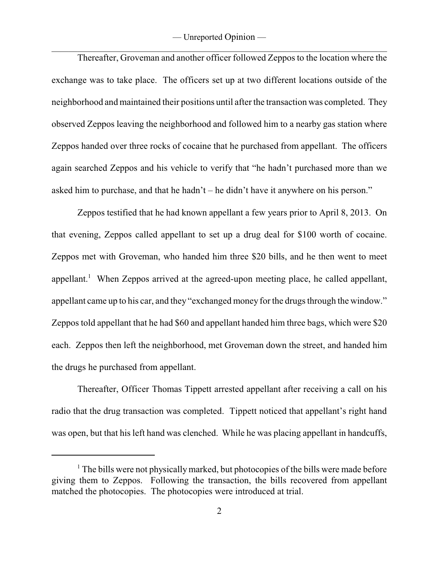Thereafter, Groveman and another officer followed Zeppos to the location where the exchange was to take place. The officers set up at two different locations outside of the neighborhood and maintained their positions until after the transaction was completed. They observed Zeppos leaving the neighborhood and followed him to a nearby gas station where Zeppos handed over three rocks of cocaine that he purchased from appellant. The officers again searched Zeppos and his vehicle to verify that "he hadn't purchased more than we asked him to purchase, and that he hadn't – he didn't have it anywhere on his person."

Zeppos testified that he had known appellant a few years prior to April 8, 2013. On that evening, Zeppos called appellant to set up a drug deal for \$100 worth of cocaine. Zeppos met with Groveman, who handed him three \$20 bills, and he then went to meet appellant.<sup>1</sup> When Zeppos arrived at the agreed-upon meeting place, he called appellant, appellant came up to his car, and they "exchanged money for the drugs through the window." Zeppos told appellant that he had \$60 and appellant handed him three bags, which were \$20 each. Zeppos then left the neighborhood, met Groveman down the street, and handed him the drugs he purchased from appellant.

Thereafter, Officer Thomas Tippett arrested appellant after receiving a call on his radio that the drug transaction was completed. Tippett noticed that appellant's right hand was open, but that his left hand was clenched. While he was placing appellant in handcuffs,

 $<sup>1</sup>$  The bills were not physically marked, but photocopies of the bills were made before</sup> giving them to Zeppos. Following the transaction, the bills recovered from appellant matched the photocopies. The photocopies were introduced at trial.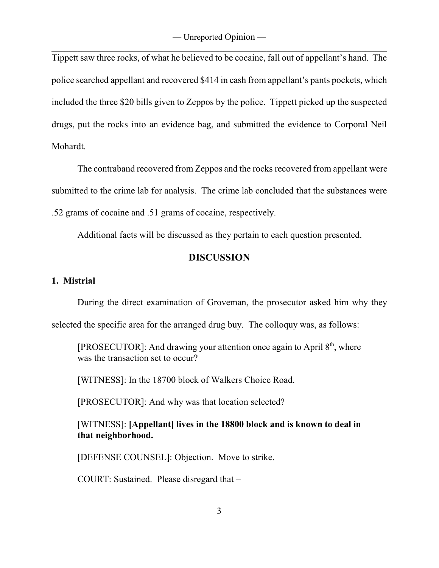Tippett saw three rocks, of what he believed to be cocaine, fall out of appellant's hand. The police searched appellant and recovered \$414 in cash from appellant's pants pockets, which included the three \$20 bills given to Zeppos by the police. Tippett picked up the suspected drugs, put the rocks into an evidence bag, and submitted the evidence to Corporal Neil Mohardt.

The contraband recovered from Zeppos and the rocks recovered from appellant were submitted to the crime lab for analysis. The crime lab concluded that the substances were .52 grams of cocaine and .51 grams of cocaine, respectively.

Additional facts will be discussed as they pertain to each question presented.

# **DISCUSSION**

# **1. Mistrial**

During the direct examination of Groveman, the prosecutor asked him why they

selected the specific area for the arranged drug buy. The colloquy was, as follows:

[PROSECUTOR]: And drawing your attention once again to April  $8<sup>th</sup>$ , where was the transaction set to occur?

[WITNESS]: In the 18700 block of Walkers Choice Road.

[PROSECUTOR]: And why was that location selected?

[WITNESS]: **[Appellant] lives in the 18800 block and is known to deal in that neighborhood.**

[DEFENSE COUNSEL]: Objection. Move to strike.

COURT: Sustained. Please disregard that –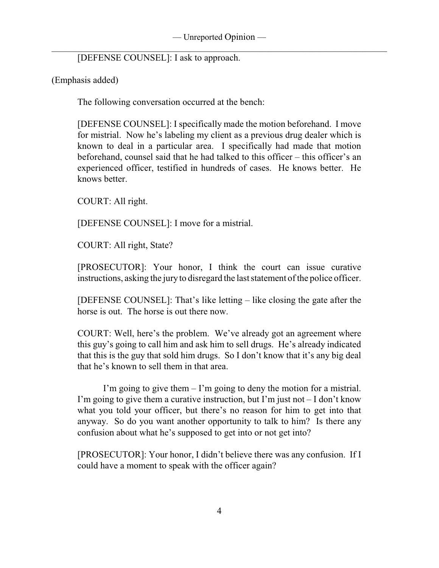[DEFENSE COUNSEL]: I ask to approach.

(Emphasis added)

The following conversation occurred at the bench:

[DEFENSE COUNSEL]: I specifically made the motion beforehand. I move for mistrial. Now he's labeling my client as a previous drug dealer which is known to deal in a particular area. I specifically had made that motion beforehand, counsel said that he had talked to this officer – this officer's an experienced officer, testified in hundreds of cases. He knows better. He knows better.

COURT: All right.

[DEFENSE COUNSEL]: I move for a mistrial.

COURT: All right, State?

[PROSECUTOR]: Your honor, I think the court can issue curative instructions, asking the jury to disregard the last statement of the police officer.

[DEFENSE COUNSEL]: That's like letting – like closing the gate after the horse is out. The horse is out there now.

COURT: Well, here's the problem. We've already got an agreement where this guy's going to call him and ask him to sell drugs. He's already indicated that this is the guy that sold him drugs. So I don't know that it's any big deal that he's known to sell them in that area.

I'm going to give them – I'm going to deny the motion for a mistrial. I'm going to give them a curative instruction, but I'm just not  $-1$  don't know what you told your officer, but there's no reason for him to get into that anyway. So do you want another opportunity to talk to him? Is there any confusion about what he's supposed to get into or not get into?

[PROSECUTOR]: Your honor, I didn't believe there was any confusion. If I could have a moment to speak with the officer again?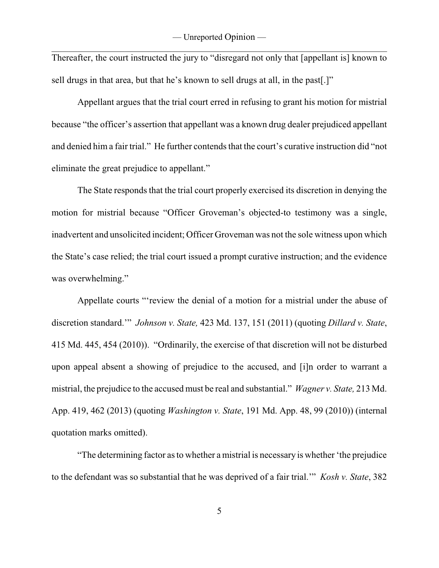Thereafter, the court instructed the jury to "disregard not only that [appellant is] known to sell drugs in that area, but that he's known to sell drugs at all, in the past[.]"

Appellant argues that the trial court erred in refusing to grant his motion for mistrial because "the officer's assertion that appellant was a known drug dealer prejudiced appellant and denied him a fair trial." He further contends that the court's curative instruction did "not eliminate the great prejudice to appellant."

The State responds that the trial court properly exercised its discretion in denying the motion for mistrial because "Officer Groveman's objected-to testimony was a single, inadvertent and unsolicited incident; Officer Groveman was not the sole witness upon which the State's case relied; the trial court issued a prompt curative instruction; and the evidence was overwhelming."

Appellate courts "'review the denial of a motion for a mistrial under the abuse of discretion standard.'" *Johnson v. State,* 423 Md. 137, 151 (2011) (quoting *Dillard v. State*, 415 Md. 445, 454 (2010)). "Ordinarily, the exercise of that discretion will not be disturbed upon appeal absent a showing of prejudice to the accused, and [i]n order to warrant a mistrial, the prejudice to the accused must be real and substantial." *Wagner v. State,* 213 Md. App. 419, 462 (2013) (quoting *Washington v. State*, 191 Md. App. 48, 99 (2010)) (internal quotation marks omitted).

"The determining factor as to whether a mistrial is necessary is whether 'the prejudice to the defendant was so substantial that he was deprived of a fair trial.'" *Kosh v. State*, 382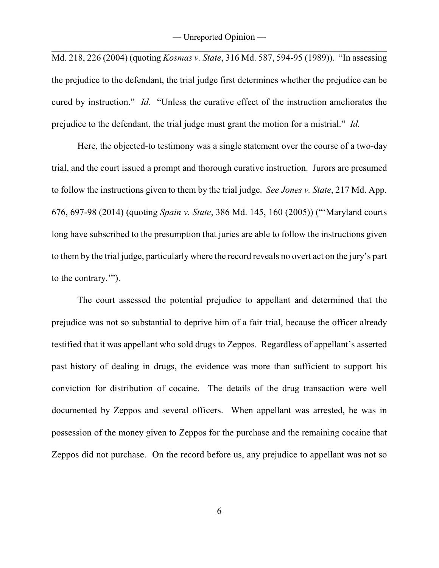Md. 218, 226 (2004) (quoting *Kosmas v. State*, 316 Md. 587, 594-95 (1989)). "In assessing the prejudice to the defendant, the trial judge first determines whether the prejudice can be cured by instruction." *Id.* "Unless the curative effect of the instruction ameliorates the prejudice to the defendant, the trial judge must grant the motion for a mistrial." *Id.* 

Here, the objected-to testimony was a single statement over the course of a two-day trial, and the court issued a prompt and thorough curative instruction. Jurors are presumed to follow the instructions given to them by the trial judge. *See Jones v. State*, 217 Md. App. 676, 697-98 (2014) (quoting *Spain v. State*, 386 Md. 145, 160 (2005)) ("'Maryland courts long have subscribed to the presumption that juries are able to follow the instructions given to them by the trial judge, particularly where the record reveals no overt act on the jury's part to the contrary.'").

The court assessed the potential prejudice to appellant and determined that the prejudice was not so substantial to deprive him of a fair trial, because the officer already testified that it was appellant who sold drugs to Zeppos. Regardless of appellant's asserted past history of dealing in drugs, the evidence was more than sufficient to support his conviction for distribution of cocaine. The details of the drug transaction were well documented by Zeppos and several officers. When appellant was arrested, he was in possession of the money given to Zeppos for the purchase and the remaining cocaine that Zeppos did not purchase. On the record before us, any prejudice to appellant was not so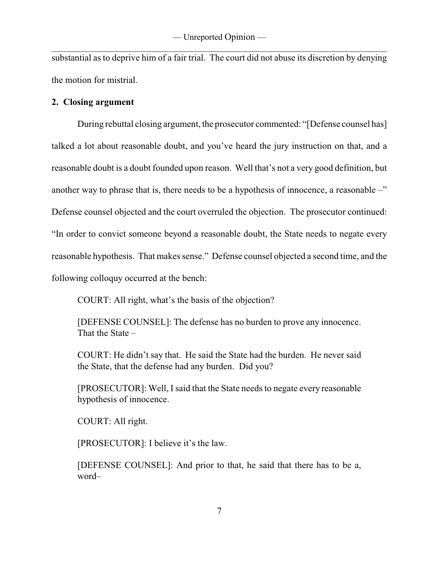substantial as to deprive him of a fair trial. The court did not abuse its discretion by denying the motion for mistrial.

# **2. Closing argument**

During rebuttal closing argument, the prosecutor commented: "[Defense counsel has] talked a lot about reasonable doubt, and you've heard the jury instruction on that, and a reasonable doubt is a doubt founded upon reason. Well that's not a very good definition, but another way to phrase that is, there needs to be a hypothesis of innocence, a reasonable  $-\ddot{}$ Defense counsel objected and the court overruled the objection. The prosecutor continued: "In order to convict someone beyond a reasonable doubt, the State needs to negate every reasonable hypothesis. That makes sense." Defense counsel objected a second time, and the following colloquy occurred at the bench:

COURT: All right, what's the basis of the objection?

[DEFENSE COUNSEL]: The defense has no burden to prove any innocence. That the State –

COURT: He didn't say that. He said the State had the burden. He never said the State, that the defense had any burden. Did you?

[PROSECUTOR]: Well, I said that the State needs to negate every reasonable hypothesis of innocence.

COURT: All right.

[PROSECUTOR]: I believe it's the law.

[DEFENSE COUNSEL]: And prior to that, he said that there has to be a, word–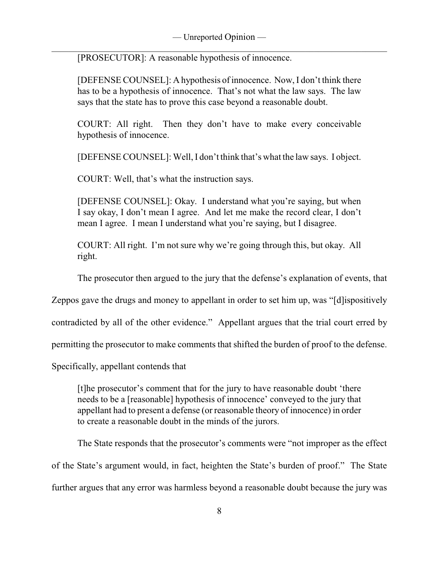\_\_\_\_\_\_\_\_\_\_\_\_\_\_\_\_\_\_\_\_\_\_\_\_\_\_\_\_\_\_\_\_\_\_\_\_\_\_\_\_\_\_\_\_\_\_\_\_\_\_\_\_\_\_\_\_\_\_\_\_\_\_\_\_\_\_\_\_\_\_\_\_\_\_\_\_\_\_ [PROSECUTOR]: A reasonable hypothesis of innocence.

[DEFENSE COUNSEL]: A hypothesis of innocence. Now, I don't think there has to be a hypothesis of innocence. That's not what the law says. The law says that the state has to prove this case beyond a reasonable doubt.

COURT: All right. Then they don't have to make every conceivable hypothesis of innocence.

[DEFENSE COUNSEL]: Well, I don't think that's what the law says. I object.

COURT: Well, that's what the instruction says.

[DEFENSE COUNSEL]: Okay. I understand what you're saying, but when I say okay, I don't mean I agree. And let me make the record clear, I don't mean I agree. I mean I understand what you're saying, but I disagree.

COURT: All right. I'm not sure why we're going through this, but okay. All right.

The prosecutor then argued to the jury that the defense's explanation of events, that

Zeppos gave the drugs and money to appellant in order to set him up, was "[d]ispositively

contradicted by all of the other evidence." Appellant argues that the trial court erred by

permitting the prosecutor to make comments that shifted the burden of proof to the defense.

Specifically, appellant contends that

[t]he prosecutor's comment that for the jury to have reasonable doubt 'there needs to be a [reasonable] hypothesis of innocence' conveyed to the jury that appellant had to present a defense (or reasonable theory of innocence) in order to create a reasonable doubt in the minds of the jurors.

The State responds that the prosecutor's comments were "not improper as the effect of the State's argument would, in fact, heighten the State's burden of proof." The State further argues that any error was harmless beyond a reasonable doubt because the jury was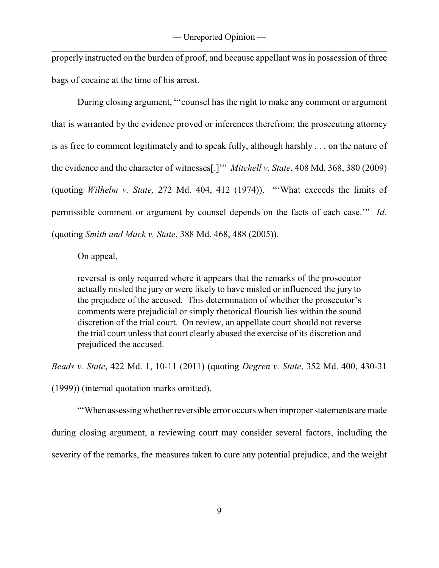properly instructed on the burden of proof, and because appellant was in possession of three bags of cocaine at the time of his arrest.

During closing argument, "'counsel has the right to make any comment or argument that is warranted by the evidence proved or inferences therefrom; the prosecuting attorney is as free to comment legitimately and to speak fully, although harshly . . . on the nature of the evidence and the character of witnesses[.]'" *Mitchell v. State*, 408 Md. 368, 380 (2009) (quoting *Wilhelm v. State,* 272 Md. 404, 412 (1974)). "'What exceeds the limits of permissible comment or argument by counsel depends on the facts of each case.'" *Id.* (quoting *Smith and Mack v. State*, 388 Md. 468, 488 (2005)).

On appeal,

reversal is only required where it appears that the remarks of the prosecutor actually misled the jury or were likely to have misled or influenced the jury to the prejudice of the accused. This determination of whether the prosecutor's comments were prejudicial or simply rhetorical flourish lies within the sound discretion of the trial court. On review, an appellate court should not reverse the trial court unless that court clearly abused the exercise of its discretion and prejudiced the accused.

*Beads v. State*, 422 Md. 1, 10-11 (2011) (quoting *Degren v. State*, 352 Md. 400, 430-31

(1999)) (internal quotation marks omitted).

"'When assessing whether reversible error occurs when improper statements aremade during closing argument, a reviewing court may consider several factors, including the severity of the remarks, the measures taken to cure any potential prejudice, and the weight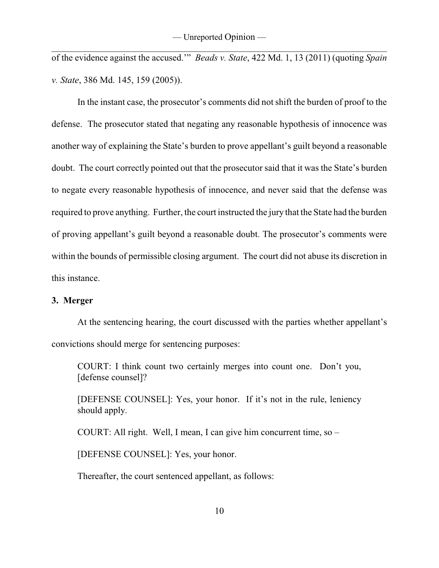of the evidence against the accused.'" *Beads v. State*, 422 Md. 1, 13 (2011) (quoting *Spain v. State*, 386 Md. 145, 159 (2005)).

In the instant case, the prosecutor's comments did not shift the burden of proof to the defense. The prosecutor stated that negating any reasonable hypothesis of innocence was another way of explaining the State's burden to prove appellant's guilt beyond a reasonable doubt. The court correctly pointed out that the prosecutor said that it was the State's burden to negate every reasonable hypothesis of innocence, and never said that the defense was required to prove anything. Further, the court instructed the jury that the State had the burden of proving appellant's guilt beyond a reasonable doubt. The prosecutor's comments were within the bounds of permissible closing argument. The court did not abuse its discretion in this instance.

# **3. Merger**

At the sentencing hearing, the court discussed with the parties whether appellant's convictions should merge for sentencing purposes:

COURT: I think count two certainly merges into count one. Don't you, [defense counsel]?

[DEFENSE COUNSEL]: Yes, your honor. If it's not in the rule, leniency should apply.

COURT: All right. Well, I mean, I can give him concurrent time, so –

[DEFENSE COUNSEL]: Yes, your honor.

Thereafter, the court sentenced appellant, as follows: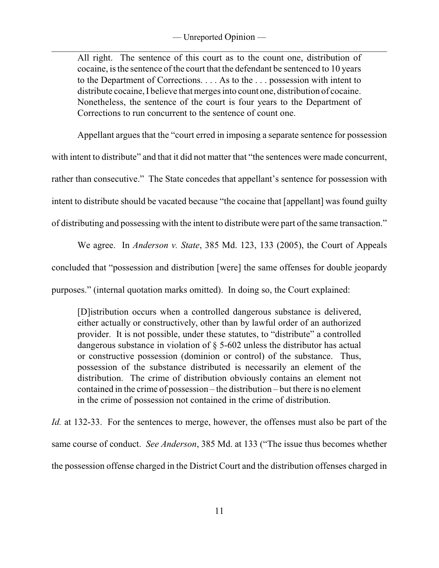All right. The sentence of this court as to the count one, distribution of cocaine, is the sentence of the court that the defendant be sentenced to 10 years to the Department of Corrections. . . . As to the . . . possession with intent to distribute cocaine, I believe that merges into count one, distribution of cocaine. Nonetheless, the sentence of the court is four years to the Department of Corrections to run concurrent to the sentence of count one.

Appellant argues that the "court erred in imposing a separate sentence for possession

with intent to distribute" and that it did not matter that "the sentences were made concurrent, rather than consecutive." The State concedes that appellant's sentence for possession with intent to distribute should be vacated because "the cocaine that [appellant] was found guilty of distributing and possessing with the intent to distribute were part of the same transaction."

We agree. In *Anderson v. State*, 385 Md. 123, 133 (2005), the Court of Appeals concluded that "possession and distribution [were] the same offenses for double jeopardy purposes." (internal quotation marks omitted). In doing so, the Court explained:

[D]istribution occurs when a controlled dangerous substance is delivered, either actually or constructively, other than by lawful order of an authorized provider. It is not possible, under these statutes, to "distribute" a controlled dangerous substance in violation of § 5-602 unless the distributor has actual or constructive possession (dominion or control) of the substance. Thus, possession of the substance distributed is necessarily an element of the distribution. The crime of distribution obviously contains an element not contained in the crime of possession – the distribution – but there is no element in the crime of possession not contained in the crime of distribution.

*Id.* at 132-33. For the sentences to merge, however, the offenses must also be part of the same course of conduct. *See Anderson*, 385 Md. at 133 ("The issue thus becomes whether the possession offense charged in the District Court and the distribution offenses charged in